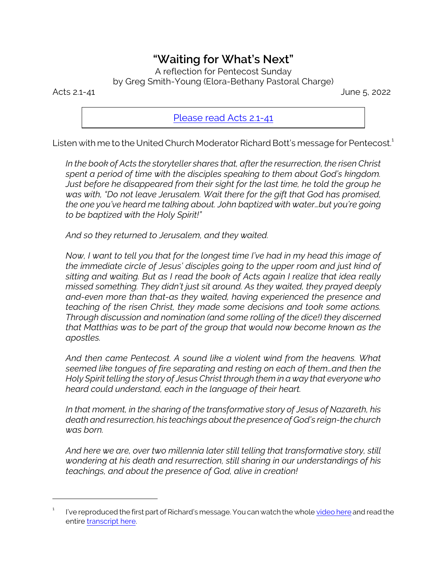## *"Waiting for What's Next"*

A reflection for Pentecost Sunday

by Greg Smith-Young (Elora-Bethany Pastoral Charge)

Acts 2.1-41 June 5, 2022

[Please read Acts 2.1-41](https://www.biblegateway.com/passage/?search=Acts+2.1-41&version=CEB)

Listen with me to the United Church Moderator Richard Bott's message for Pentecost. 1

*In the book of Acts the storyteller shares that, after the resurrection, the risen Christ spent a period of time with the disciples speaking to them about God's kingdom. Just before he disappeared from their sight for the last time, he told the group he was with, "Do not leave Jerusalem. Wait there for the gift that God has promised, the one you've heard me talking about. John baptized with water…but you're going to be baptized with the Holy Spirit!"*

*And so they returned to Jerusalem, and they waited.*

*Now, I want to tell you that for the longest time I've had in my head this image of the immediate circle of Jesus' disciples going to the upper room and just kind of sitting and waiting. But as I read the book of Acts again I realize that idea really missed something. They didn't just sit around. As they waited, they prayed deeply and-even more than that-as they waited, having experienced the presence and teaching of the risen Christ, they made some decisions and took some actions. Through discussion and nomination (and some rolling of the dice!) they discerned that Matthias was to be part of the group that would now become known as the apostles.*

*And then came Pentecost. A sound like a violent wind from the heavens. What seemed like tongues of fire separating and resting on each of them…and then the Holy Spirit telling the story of Jesus Christ through them in a way that everyone who heard could understand, each in the language of their heart.*

*In that moment, in the sharing of the transformative story of Jesus of Nazareth, his death and resurrection, his teachings about the presence of God's reign-the church was born.*

*And here we are, over two millennia later still telling that transformative story, still wondering at his death and resurrection, still sharing in our understandings of his teachings, and about the presence of God, alive in creation!*

<sup>1</sup> I've reproduced the first part of Richard's message. You can watch the whole [video here](https://youtu.be/AiOIM4w-gKA) and read the entire [transcript here](https://united-church.ca/sites/default/files/2022-05/transcript_moderators_pentecost_message_2022.docx).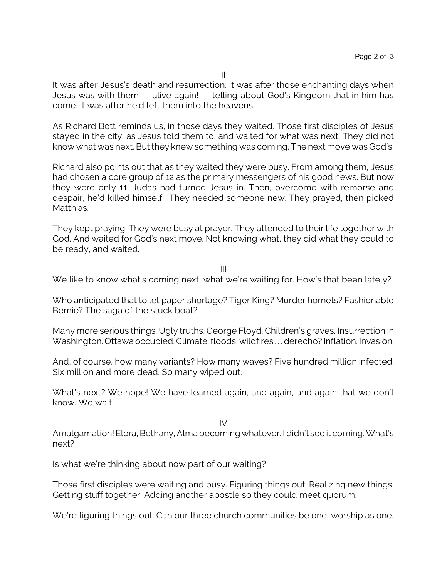It was after Jesus's death and resurrection. It was after those enchanting days when Jesus was with them — alive again! — telling about God's Kingdom that in him has come. It was after he'd left them into the heavens.

As Richard Bott reminds us, in those days they waited. Those first disciples of Jesus stayed in the city, as Jesus told them to, and waited for what was next. They did not know what was next. But they knew something was coming. The next move was God's.

Richard also points out that as they waited they were busy. From among them, Jesus had chosen a core group of 12 as the primary messengers of his good news. But now they were only 11. Judas had turned Jesus in. Then, overcome with remorse and despair, he'd killed himself. They needed someone new. They prayed, then picked Matthias.

They kept praying. They were busy at prayer. They attended to their life together with God. And waited for God's next move. Not knowing what, they did what they could to be ready, and waited.

III

We like to know what's coming next, what we're waiting for. How's that been lately?

Who anticipated that toilet paper shortage? Tiger King? Murder hornets? Fashionable Bernie? The saga of the stuck boat?

Many more serious things. Ugly truths. George Floyd. Children's graves. Insurrection in Washington. Ottawa occupied. Climate: floods, wildfires . . . derecho? Inflation. Invasion.

And, of course, how many variants? How many waves? Five hundred million infected. Six million and more dead. So many wiped out.

What's next? We hope! We have learned again, and again, and again that we don't know. We wait.

IV

Amalgamation! Elora, Bethany, Alma becoming whatever. I didn't see it coming. What's next?

Is what we're thinking about now part of our waiting?

Those first disciples were waiting and busy. Figuring things out. Realizing new things. Getting stuff together. Adding another apostle so they could meet quorum.

We're figuring things out. Can our three church communities be one, worship as one,